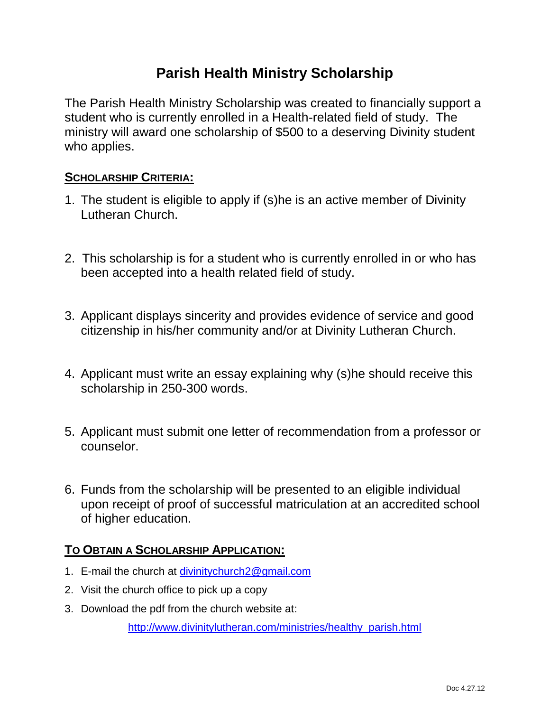## **Parish Health Ministry Scholarship**

The Parish Health Ministry Scholarship was created to financially support a student who is currently enrolled in a Health-related field of study. The ministry will award one scholarship of \$500 to a deserving Divinity student who applies.

### **SCHOLARSHIP CRITERIA:**

- 1. The student is eligible to apply if (s)he is an active member of Divinity Lutheran Church.
- 2. This scholarship is for a student who is currently enrolled in or who has been accepted into a health related field of study.
- 3. Applicant displays sincerity and provides evidence of service and good citizenship in his/her community and/or at Divinity Lutheran Church.
- 4. Applicant must write an essay explaining why (s)he should receive this scholarship in 250-300 words.
- 5. Applicant must submit one letter of recommendation from a professor or counselor.
- 6. Funds from the scholarship will be presented to an eligible individual upon receipt of proof of successful matriculation at an accredited school of higher education.

### **TO OBTAIN A SCHOLARSHIP APPLICATION:**

- 1. E-mail the church at [divinitychurch2@gmail.com](mailto:divinitychurch2@gmail.com)
- 2. Visit the church office to pick up a copy
- 3. Download the pdf from the church website at:

[http://www.divinitylutheran.com/ministries/healthy\\_parish.html](http://www.divinitylutheran.com/ministries/healthy_parish.html)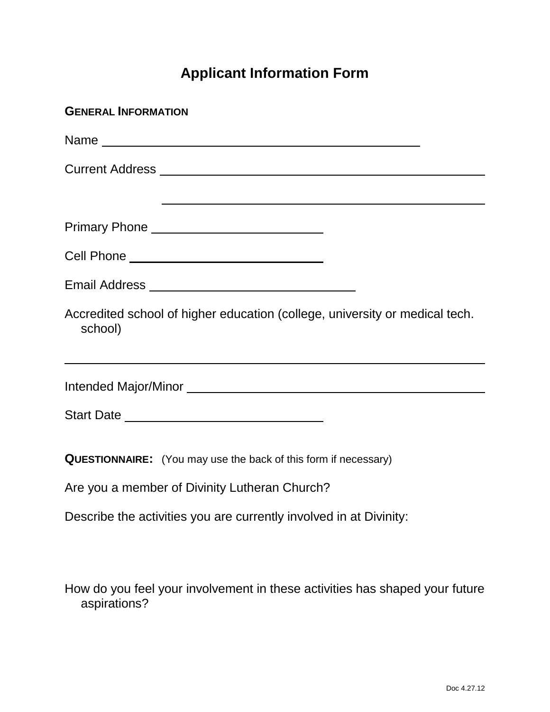# **Applicant Information Form**

| <b>GENERAL INFORMATION</b>                                                                                      |
|-----------------------------------------------------------------------------------------------------------------|
|                                                                                                                 |
|                                                                                                                 |
| the contract of the contract of the contract of the contract of the contract of the contract of the contract of |
|                                                                                                                 |
| Cell Phone _________________________________                                                                    |
|                                                                                                                 |
| Accredited school of higher education (college, university or medical tech.<br>school)                          |
|                                                                                                                 |
|                                                                                                                 |
|                                                                                                                 |
| <b>QUESTIONNAIRE:</b> (You may use the back of this form if necessary)                                          |
| Are you a member of Divinity Lutheran Church?                                                                   |
| Describe the activities you are currently involved in at Divinity:                                              |
|                                                                                                                 |

How do you feel your involvement in these activities has shaped your future aspirations?